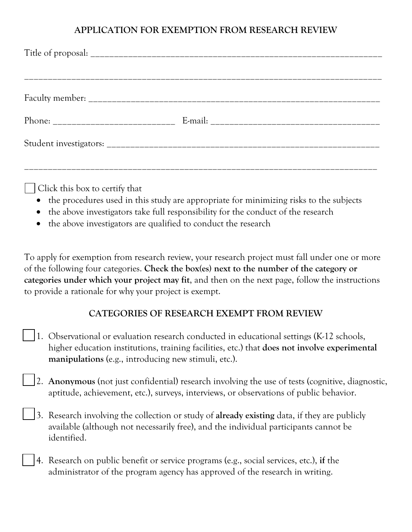## **APPLICATION FOR EXEMPTION FROM RESEARCH REVIEW**

Click this box to certify that

- the procedures used in this study are appropriate for minimizing risks to the subjects
- the above investigators take full responsibility for the conduct of the research
- the above investigators are qualified to conduct the research

To apply for exemption from research review, your research project must fall under one or more of the following four categories. **Check the box(es) next to the number of the category or categories under which your project may fit**, and then on the next page, follow the instructions to provide a rationale for why your project is exempt.

## **CATEGORIES OF RESEARCH EXEMPT FROM REVIEW**

- 1. Observational or evaluation research conducted in educational settings (K-12 schools, higher education institutions, training facilities, etc.) that **does not involve experimental manipulations** (e.g., introducing new stimuli, etc.).
- 2. **Anonymous** (not just confidential) research involving the use of tests (cognitive, diagnostic, aptitude, achievement, etc.), surveys, interviews, or observations of public behavior.
- 3. Research involving the collection or study of **already existing** data, if they are publicly available (although not necessarily free), and the individual participants cannot be identified.
- 4. Research on public benefit or service programs (e.g., social services, etc.), **if** the administrator of the program agency has approved of the research in writing.